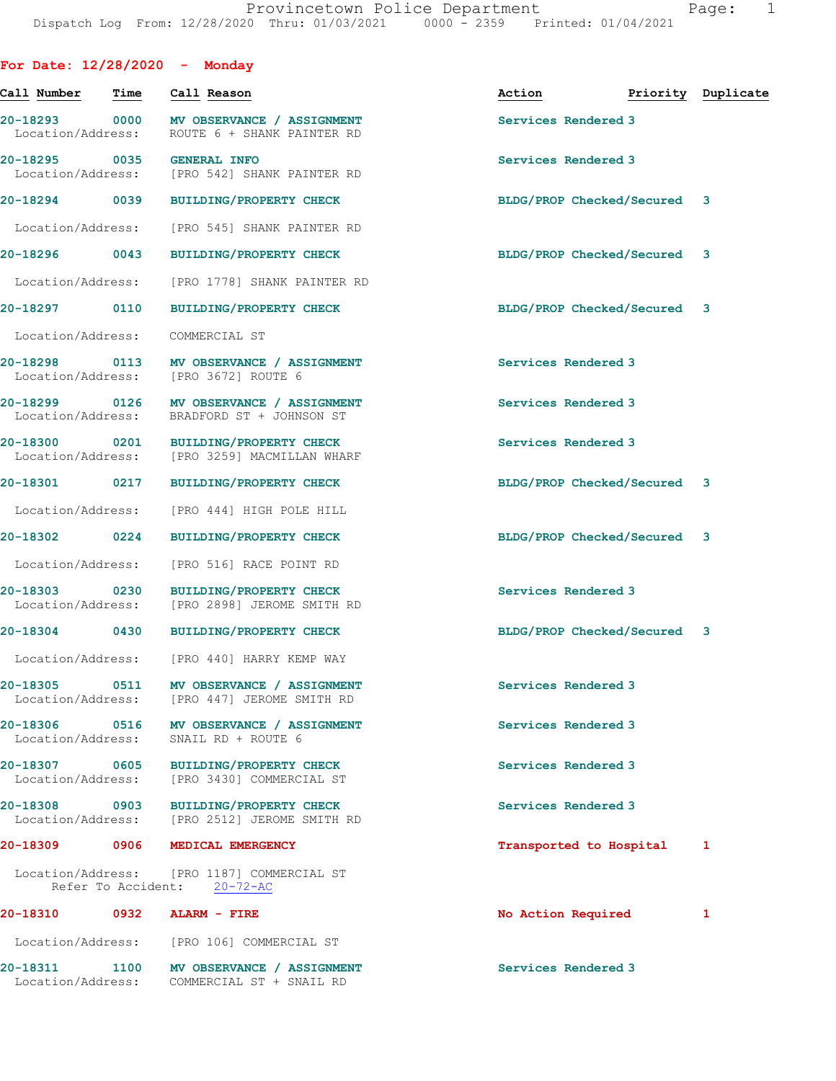| For Date: $12/28/2020 -$ Monday    |      |                                                                                         |                             |                    |
|------------------------------------|------|-----------------------------------------------------------------------------------------|-----------------------------|--------------------|
| Call Number                        | Time | Call Reason                                                                             | Action                      | Priority Duplicate |
| 20-18293 0000<br>Location/Address: |      | MV OBSERVANCE / ASSIGNMENT<br>ROUTE 6 + SHANK PAINTER RD                                | Services Rendered 3         |                    |
| 20-18295 0035<br>Location/Address: |      | <b>GENERAL INFO</b><br>[PRO 542] SHANK PAINTER RD                                       | Services Rendered 3         |                    |
| 20-18294 0039                      |      | <b>BUILDING/PROPERTY CHECK</b>                                                          | BLDG/PROP Checked/Secured 3 |                    |
| Location/Address:                  |      | [PRO 545] SHANK PAINTER RD                                                              |                             |                    |
| 20-18296 0043                      |      | <b>BUILDING/PROPERTY CHECK</b>                                                          | BLDG/PROP Checked/Secured 3 |                    |
| Location/Address:                  |      | [PRO 1778] SHANK PAINTER RD                                                             |                             |                    |
| 20-18297 0110                      |      | <b>BUILDING/PROPERTY CHECK</b>                                                          | BLDG/PROP Checked/Secured 3 |                    |
| Location/Address:                  |      | COMMERCIAL ST                                                                           |                             |                    |
| 20-18298 0113<br>Location/Address: |      | MV OBSERVANCE / ASSIGNMENT<br>[PRO 3672] ROUTE 6                                        | Services Rendered 3         |                    |
| 20-18299 0126<br>Location/Address: |      | MV OBSERVANCE / ASSIGNMENT<br>BRADFORD ST + JOHNSON ST                                  | Services Rendered 3         |                    |
| 20-18300 0201<br>Location/Address: |      | <b>BUILDING/PROPERTY CHECK</b><br>[PRO 3259] MACMILLAN WHARF                            | Services Rendered 3         |                    |
| 20-18301                           | 0217 | <b>BUILDING/PROPERTY CHECK</b>                                                          | BLDG/PROP Checked/Secured 3 |                    |
| Location/Address:                  |      | [PRO 444] HIGH POLE HILL                                                                |                             |                    |
| 20-18302 0224                      |      | <b>BUILDING/PROPERTY CHECK</b>                                                          | BLDG/PROP Checked/Secured 3 |                    |
| Location/Address:                  |      | [PRO 516] RACE POINT RD                                                                 |                             |                    |
| 20-18303 0230<br>Location/Address: |      | BUILDING/PROPERTY CHECK<br>[PRO 2898] JEROME SMITH RD                                   | Services Rendered 3         |                    |
| 20-18304                           | 0430 | <b>BUILDING/PROPERTY CHECK</b>                                                          | BLDG/PROP Checked/Secured 3 |                    |
|                                    |      | Location/Address: [PRO 440] HARRY KEMP WAY                                              |                             |                    |
|                                    |      | 20-18305 0511 MV OBSERVANCE / ASSIGNMENT<br>Location/Address: [PRO 447] JEROME SMITH RD | Services Rendered 3         |                    |
| 20-18306 0516<br>Location/Address: |      | MV OBSERVANCE / ASSIGNMENT<br>SNAIL RD + ROUTE 6                                        | Services Rendered 3         |                    |
| Location/Address:                  |      | 20-18307 0605 BUILDING/PROPERTY CHECK<br>[PRO 3430] COMMERCIAL ST                       | Services Rendered 3         |                    |
| 20-18308 0903<br>Location/Address: |      | <b>BUILDING/PROPERTY CHECK</b><br>[PRO 2512] JEROME SMITH RD                            | Services Rendered 3         |                    |
|                                    |      | 20-18309 0906 MEDICAL EMERGENCY                                                         | Transported to Hospital     | 1                  |
|                                    |      | Location/Address: [PRO 1187] COMMERCIAL ST<br>Refer To Accident: 20-72-AC               |                             |                    |
| 20-18310                           |      | 0932 ALARM - FIRE                                                                       | No Action Required          | 1                  |
|                                    |      | Location/Address: [PRO 106] COMMERCIAL ST                                               |                             |                    |
| 20-18311 1100                      |      | MV OBSERVANCE / ASSIGNMENT<br>Location/Address: COMMERCIAL ST + SNAIL RD                | Services Rendered 3         |                    |
|                                    |      |                                                                                         |                             |                    |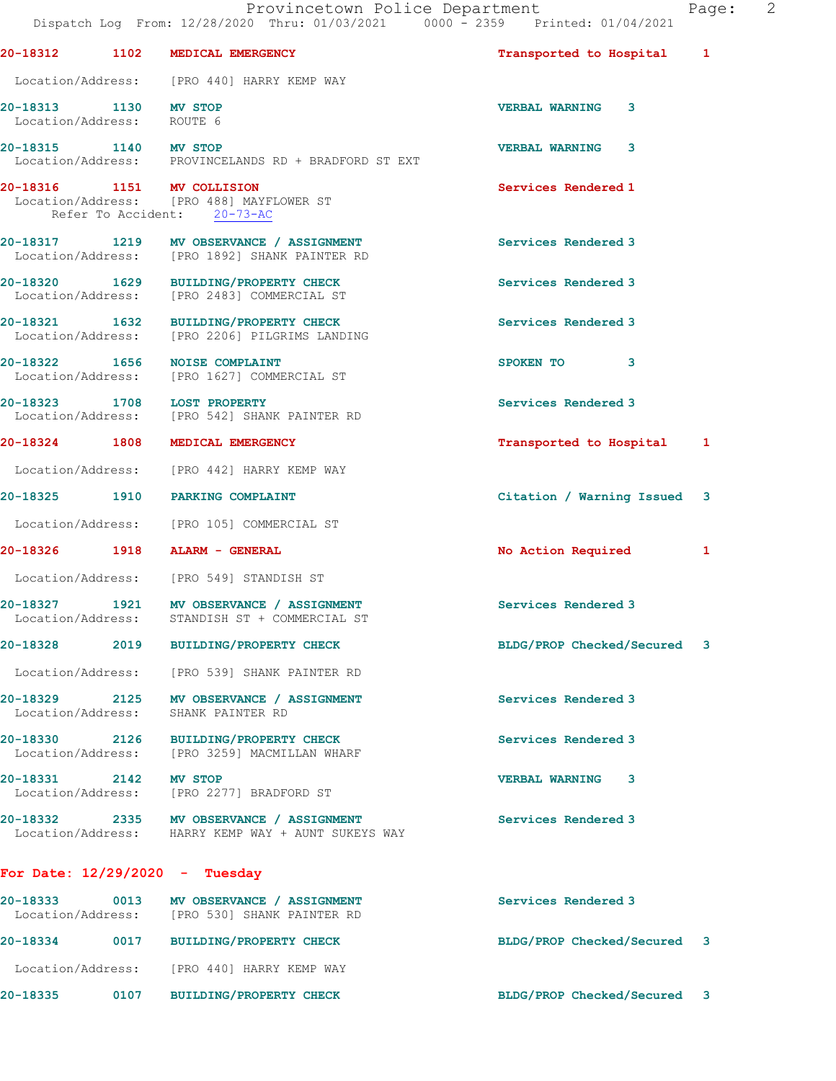**20-18313 1130 MV STOP VERBAL WARNING 3**  Location/Address: ROUTE 6

**20-18315 1140 MV STOP VERBAL WARNING 3**  Location/Address: PROVINCELANDS RD + BRADFORD ST EXT

**20-18316 1151 MV COLLISION Services Rendered 1**  Location/Address: [PRO 488] MAYFLOWER ST Refer To Accident: 20-73-AC

**20-18317 1219 MV OBSERVANCE / ASSIGNMENT Services Rendered 3**  Location/Address: [PRO 1892] SHANK PAINTER RD

**20-18320 1629 BUILDING/PROPERTY CHECK Services Rendered 3**  Location/Address: [PRO 2483] COMMERCIAL ST

**20-18321 1632 BUILDING/PROPERTY CHECK Services Rendered 3**  Location/Address: [PRO 2206] PILGRIMS LANDING

**20-18324 1808 MEDICAL EMERGENCY Transported to Hospital 1**

**20-18322 1656 NOISE COMPLAINT SPOKEN TO 3**  Location/Address: [PRO 1627] COMMERCIAL ST

**20-18323 1708 LOST PROPERTY 1208 LOST PROPERTY** Services Rendered 3 Location/Address: [PRO 542] SHANK PAINTER RD Location/Address: [PRO 542] SHANK PAINTER RD

Location/Address: [PRO 442] HARRY KEMP WAY

**20-18325 1910 PARKING COMPLAINT Citation / Warning Issued 3**

Location/Address: [PRO 105] COMMERCIAL ST

**20-18326 1918 ALARM - GENERAL No Action Required 1**

Location/Address: [PRO 549] STANDISH ST

20-18327 1921 MV OBSERVANCE / ASSIGNMENT **Services Rendered 3** Location/Address: STANDISH ST + COMMERCIAL ST

**20-18328 2019 BUILDING/PROPERTY CHECK BLDG/PROP Checked/Secured 3**

Location/Address: [PRO 539] SHANK PAINTER RD

**20-18329 2125 MV OBSERVANCE / ASSIGNMENT Services Rendered 3**  Location/Address: SHANK PAINTER RD

**20-18330 2126 BUILDING/PROPERTY CHECK Services Rendered 3**  Location/Address: [PRO 3259] MACMILLAN WHARF

**20-18331 2142 MV STOP VERBAL WARNING 3**  [PRO 2277] BRADFORD ST

**20-18332 2335 MV OBSERVANCE / ASSIGNMENT Services Rendered 3**  Location/Address: HARRY KEMP WAY + AUNT SUKEYS WAY

## **For Date: 12/29/2020 - Tuesday**

| 20-18333<br>Location/Address: | 0013 | MV OBSERVANCE / ASSIGNMENT<br>[PRO 530] SHANK PAINTER RD | Services Rendered 3         |  |
|-------------------------------|------|----------------------------------------------------------|-----------------------------|--|
| 20-18334                      | 0017 | <b>BUILDING/PROPERTY CHECK</b>                           | BLDG/PROP Checked/Secured 3 |  |
| Location/Address:             |      | [PRO 440] HARRY KEMP WAY                                 |                             |  |
| 20-18335                      | 0107 | <b>BUILDING/PROPERTY CHECK</b>                           | BLDG/PROP Checked/Secured 3 |  |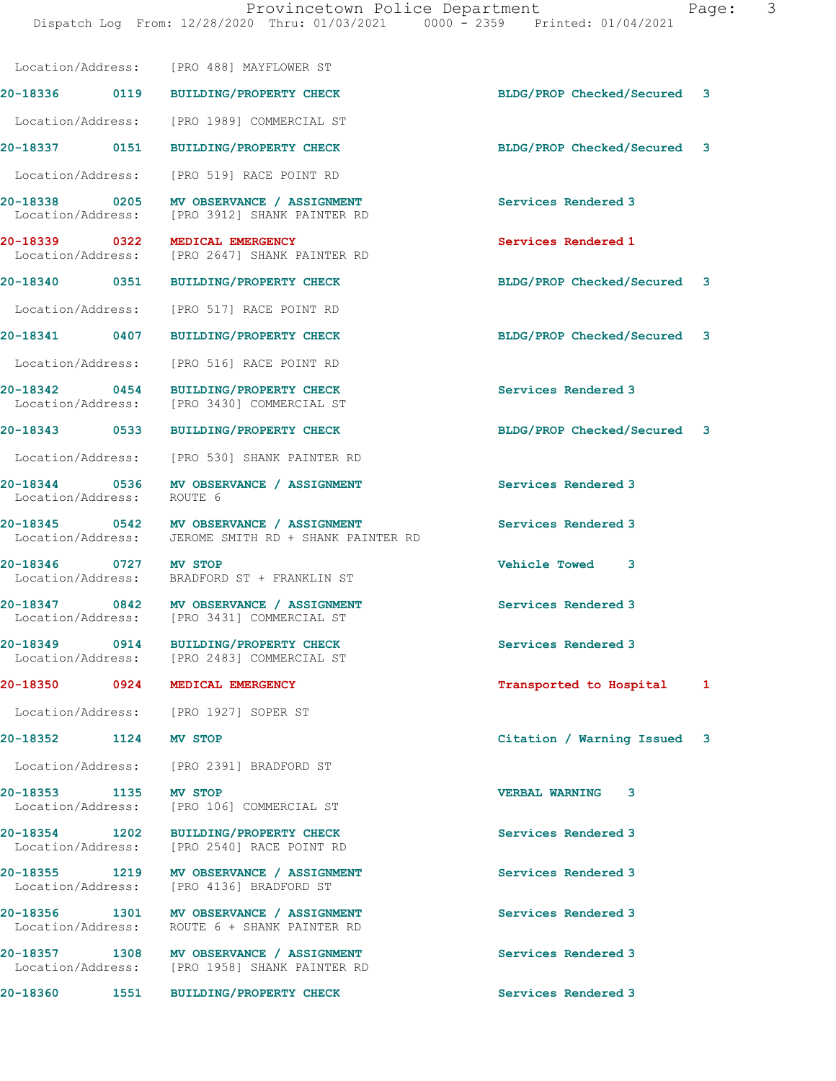|                                    |      | Location/Address: [PRO 488] MAYFLOWER ST                                       |                             |   |
|------------------------------------|------|--------------------------------------------------------------------------------|-----------------------------|---|
| 20-18336 0119                      |      |                                                                                | BLDG/PROP Checked/Secured 3 |   |
|                                    |      | <b>BUILDING/PROPERTY CHECK</b>                                                 |                             |   |
| Location/Address:                  |      | [PRO 1989] COMMERCIAL ST                                                       |                             |   |
| 20-18337 0151                      |      | <b>BUILDING/PROPERTY CHECK</b>                                                 | BLDG/PROP Checked/Secured 3 |   |
| Location/Address:                  |      | [PRO 519] RACE POINT RD                                                        |                             |   |
| 20-18338 0205<br>Location/Address: |      | MV OBSERVANCE / ASSIGNMENT<br>[PRO 3912] SHANK PAINTER RD                      | Services Rendered 3         |   |
| 20-18339 0322<br>Location/Address: |      | MEDICAL EMERGENCY<br>[PRO 2647] SHANK PAINTER RD                               | Services Rendered 1         |   |
| 20-18340                           | 0351 | <b>BUILDING/PROPERTY CHECK</b>                                                 | BLDG/PROP Checked/Secured 3 |   |
| Location/Address:                  |      | [PRO 517] RACE POINT RD                                                        |                             |   |
| 20-18341 0407                      |      | <b>BUILDING/PROPERTY CHECK</b>                                                 | BLDG/PROP Checked/Secured 3 |   |
| Location/Address:                  |      | [PRO 516] RACE POINT RD                                                        |                             |   |
| 20-18342 0454<br>Location/Address: |      | <b>BUILDING/PROPERTY CHECK</b><br>[PRO 3430] COMMERCIAL ST                     | Services Rendered 3         |   |
| 20-18343 0533                      |      | <b>BUILDING/PROPERTY CHECK</b>                                                 | BLDG/PROP Checked/Secured 3 |   |
|                                    |      | Location/Address: [PRO 530] SHANK PAINTER RD                                   |                             |   |
| 20-18344 0536<br>Location/Address: |      | MV OBSERVANCE / ASSIGNMENT<br>ROUTE 6                                          | Services Rendered 3         |   |
| Location/Address:                  |      | 20-18345 0542 MV OBSERVANCE / ASSIGNMENT<br>JEROME SMITH RD + SHANK PAINTER RD | Services Rendered 3         |   |
| 20-18346 0727<br>Location/Address: |      | MV STOP<br>BRADFORD ST + FRANKLIN ST                                           | <b>Vehicle Towed</b><br>3   |   |
| Location/Address:                  |      | 20-18347 0842 MV OBSERVANCE / ASSIGNMENT<br>[PRO 3431] COMMERCIAL ST           | Services Rendered 3         |   |
| 20-18349 0914<br>Location/Address: |      | BUILDING/PROPERTY CHECK<br>[PRO 2483] COMMERCIAL ST                            | Services Rendered 3         |   |
| 20-18350                           | 0924 | MEDICAL EMERGENCY                                                              | Transported to Hospital     | 1 |
| Location/Address:                  |      | [PRO 1927] SOPER ST                                                            |                             |   |
| 20-18352                           | 1124 | MV STOP                                                                        | Citation / Warning Issued 3 |   |
| Location/Address:                  |      | [PRO 2391] BRADFORD ST                                                         |                             |   |
| 20-18353<br>Location/Address:      | 1135 | MV STOP<br>[PRO 106] COMMERCIAL ST                                             | <b>VERBAL WARNING</b><br>3  |   |
| 20-18354 1202<br>Location/Address: |      | <b>BUILDING/PROPERTY CHECK</b><br>[PRO 2540] RACE POINT RD                     | Services Rendered 3         |   |
| 20-18355 1219<br>Location/Address: |      | MV OBSERVANCE / ASSIGNMENT<br>[PRO 4136] BRADFORD ST                           | Services Rendered 3         |   |
| 20-18356 1301<br>Location/Address: |      | MV OBSERVANCE / ASSIGNMENT<br>ROUTE 6 + SHANK PAINTER RD                       | Services Rendered 3         |   |
| 20-18357 1308<br>Location/Address: |      | MV OBSERVANCE / ASSIGNMENT<br>[PRO 1958] SHANK PAINTER RD                      | Services Rendered 3         |   |
| 20-18360                           | 1551 | <b>BUILDING/PROPERTY CHECK</b>                                                 | Services Rendered 3         |   |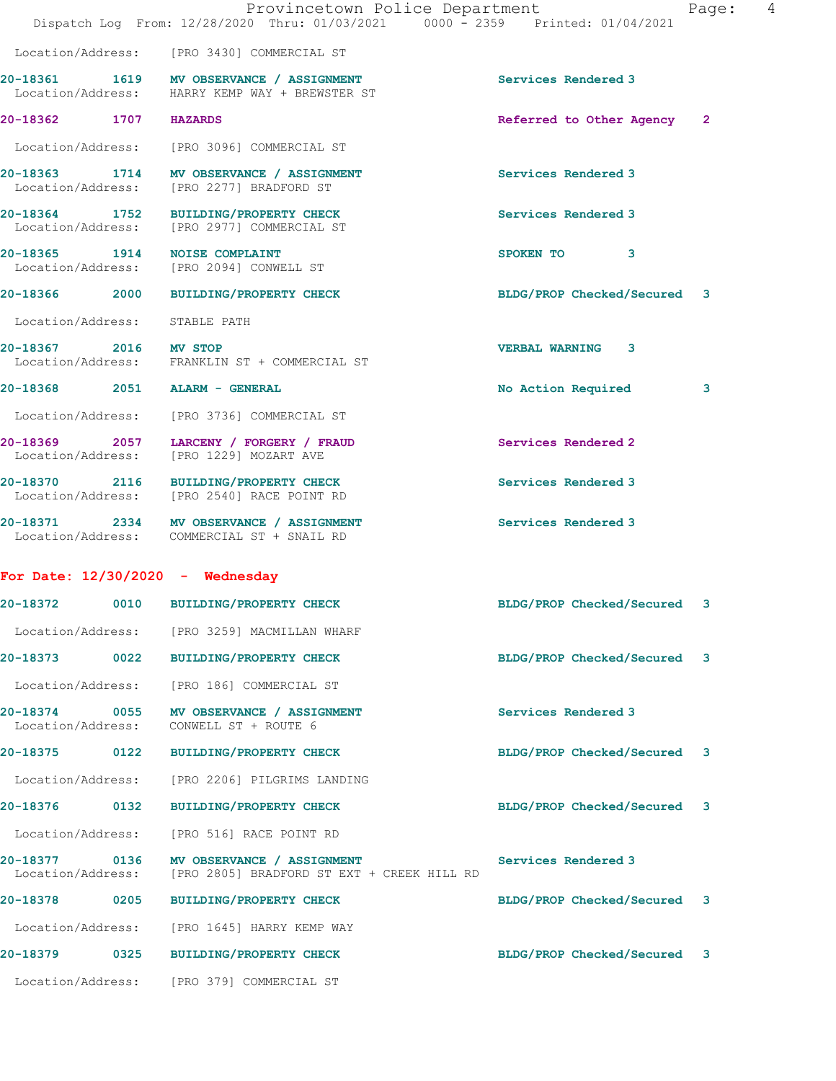|                                    |      | Provincetown Police Department<br>Dispatch Log From: 12/28/2020 Thru: 01/03/2021 0000 - 2359 Printed: 01/04/2021 |                             | Page: | 4 |
|------------------------------------|------|------------------------------------------------------------------------------------------------------------------|-----------------------------|-------|---|
|                                    |      | Location/Address: [PRO 3430] COMMERCIAL ST                                                                       |                             |       |   |
|                                    |      | 20-18361 1619 MV OBSERVANCE / ASSIGNMENT<br>Location/Address: HARRY KEMP WAY + BREWSTER ST                       | Services Rendered 3         |       |   |
| 20-18362 1707 HAZARDS              |      |                                                                                                                  | Referred to Other Agency 2  |       |   |
|                                    |      | Location/Address: [PRO 3096] COMMERCIAL ST                                                                       |                             |       |   |
|                                    |      | 20-18363 1714 MV OBSERVANCE / ASSIGNMENT<br>Location/Address: [PRO 2277] BRADFORD ST                             | Services Rendered 3         |       |   |
|                                    |      | 20-18364 1752 BUILDING/PROPERTY CHECK<br>Location/Address: [PRO 2977] COMMERCIAL ST                              | Services Rendered 3         |       |   |
|                                    |      | 20-18365 1914 NOISE COMPLAINT<br>Location/Address: [PRO 2094] CONWELL ST                                         | SPOKEN TO 3                 |       |   |
| 20-18366 2000                      |      | BUILDING/PROPERTY CHECK                                                                                          | BLDG/PROP Checked/Secured 3 |       |   |
| Location/Address: STABLE PATH      |      |                                                                                                                  |                             |       |   |
| 20-18367 2016 MV STOP              |      | Location/Address: FRANKLIN ST + COMMERCIAL ST                                                                    | <b>VERBAL WARNING 3</b>     |       |   |
|                                    |      | 20-18368 2051 ALARM - GENERAL                                                                                    | No Action Required          | 3     |   |
|                                    |      | Location/Address: [PRO 3736] COMMERCIAL ST                                                                       |                             |       |   |
|                                    |      | 20-18369 2057 LARCENY / FORGERY / FRAUD<br>Location/Address: [PRO 1229] MOZART AVE                               | Services Rendered 2         |       |   |
|                                    |      | 20-18370 2116 BUILDING/PROPERTY CHECK<br>Location/Address: [PRO 2540] RACE POINT RD                              | Services Rendered 3         |       |   |
|                                    |      | 20-18371 2334 MV OBSERVANCE / ASSIGNMENT<br>Location/Address: COMMERCIAL ST + SNAIL RD                           | Services Rendered 3         |       |   |
|                                    |      | For Date: $12/30/2020 -$ Wednesday                                                                               |                             |       |   |
| 20-18372                           | 0010 | <b>BUILDING/PROPERTY CHECK</b>                                                                                   | BLDG/PROP Checked/Secured   | 3     |   |
|                                    |      | Location/Address: [PRO 3259] MACMILLAN WHARF                                                                     |                             |       |   |
| 20-18373                           |      | 0022 BUILDING/PROPERTY CHECK                                                                                     | BLDG/PROP Checked/Secured 3 |       |   |
|                                    |      | Location/Address: [PRO 186] COMMERCIAL ST                                                                        |                             |       |   |
| 20-18374 0055<br>Location/Address: |      | MV OBSERVANCE / ASSIGNMENT<br>CONWELL ST + ROUTE 6                                                               | Services Rendered 3         |       |   |
| 20-18375 0122                      |      | BUILDING/PROPERTY CHECK                                                                                          | BLDG/PROP Checked/Secured 3 |       |   |
| Location/Address:                  |      | [PRO 2206] PILGRIMS LANDING                                                                                      |                             |       |   |
| 20-18376                           | 0132 | <b>BUILDING/PROPERTY CHECK</b>                                                                                   | BLDG/PROP Checked/Secured 3 |       |   |
| Location/Address:                  |      | [PRO 516] RACE POINT RD                                                                                          |                             |       |   |
| 20-18377 0136<br>Location/Address: |      | MV OBSERVANCE / ASSIGNMENT<br>[PRO 2805] BRADFORD ST EXT + CREEK HILL RD                                         | Services Rendered 3         |       |   |
| 20-18378 0205                      |      | <b>BUILDING/PROPERTY CHECK</b>                                                                                   | BLDG/PROP Checked/Secured 3 |       |   |
|                                    |      | Location/Address: [PRO 1645] HARRY KEMP WAY                                                                      |                             |       |   |
| 20-18379                           | 0325 | <b>BUILDING/PROPERTY CHECK</b>                                                                                   | BLDG/PROP Checked/Secured 3 |       |   |
|                                    |      | Location/Address: [PRO 379] COMMERCIAL ST                                                                        |                             |       |   |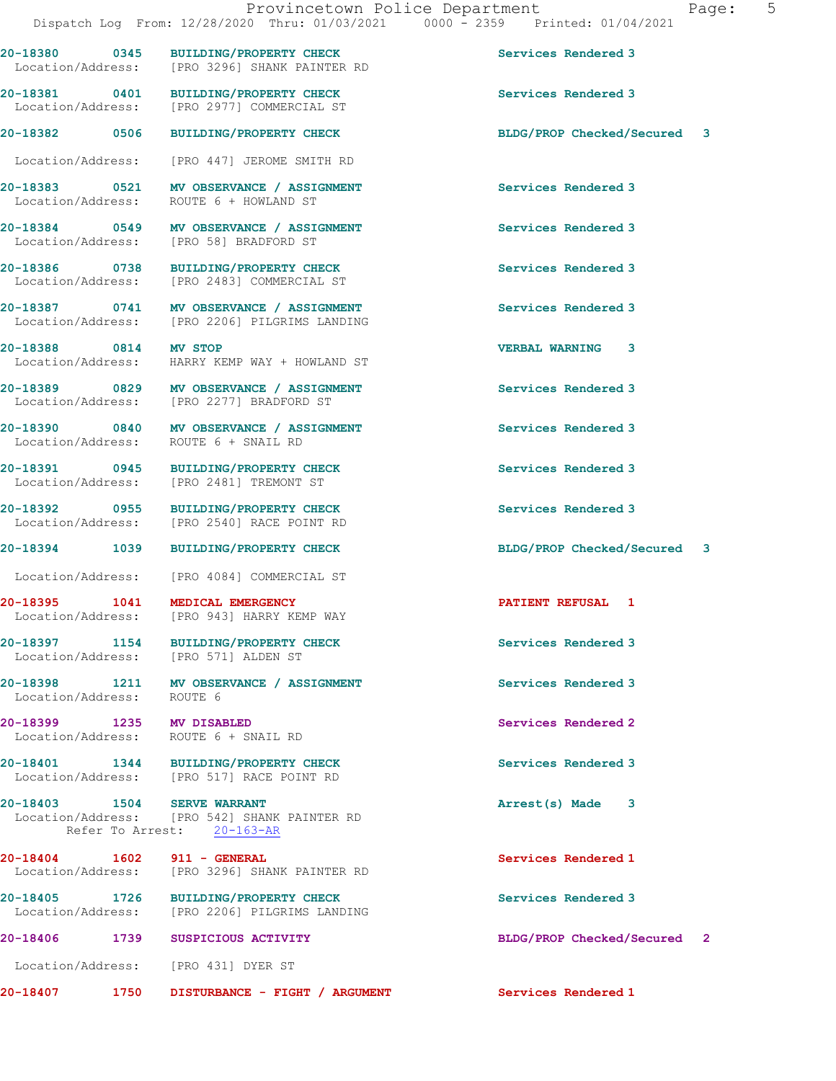**20-18381 0401 BUILDING/PROPERTY CHECK Services Rendered 3**  Location/Address: [PRO 2977] COMMERCIAL ST

Location/Address: [PRO 447] JEROME SMITH RD

**20-18383** 0521 MV OBSERVANCE / ASSIGNMENT **Services Rendered 3 Internal Services** Rendered 3 Location/Address:

**20-18384 0549 MV OBSERVANCE / ASSIGNMENT Services Rendered 3**  Location/Address: [PRO 58] BRADFORD ST

**20-18386 0738 BUILDING/PROPERTY CHECK Services Rendered 3**  Location/Address: [PRO 2483] COMMERCIAL ST

**20-18387 0741 MV OBSERVANCE / ASSIGNMENT Services Rendered 3**  Location/Address: [PRO 2206] PILGRIMS LANDING

**20-18388 0814 MV STOP VERBAL WARNING 3**  Location/Address: HARRY KEMP WAY + HOWLAND ST

**20-18389 0829 MV OBSERVANCE / ASSIGNMENT Services Rendered 3**  Location/Address:

**20-18390 0840 MV OBSERVANCE / ASSIGNMENT Services Rendered 3**  Location/Address: ROUTE 6 + SNAIL RD

**20-18391 0945 BUILDING/PROPERTY CHECK Services Rendered 3**  Location/Address: [PRO 2481] TREMONT ST

**20-18392 0955 BUILDING/PROPERTY CHECK Services Rendered 3**  Location/Address: [PRO 2540] RACE POINT RD

Location/Address: [PRO 4084] COMMERCIAL ST

**20-18395 1041 MEDICAL EMERGENCY PATIENT REFUSAL 1**  Location/Address: [PRO 943] HARRY KEMP WAY

**20-18397 1154 BUILDING/PROPERTY CHECK Services Rendered 3**  Location/Address: [PRO 571] ALDEN ST

**20-18398 1211 MV OBSERVANCE / ASSIGNMENT Services Rendered 3**<br>
Location/Address: ROUTE 6 Location/Address:

**20-18399 1235 MV DISABLED Services Rendered 2**  Location/Address: ROUTE 6 + SNAIL RD

**20-18401 1344 BUILDING/PROPERTY CHECK Services Rendered 3**  Location/Address: [PRO 517] RACE POINT RD

**20-18403 1504 SERVE WARRANT Arrest(s) Made 3** 

 Location/Address: [PRO 542] SHANK PAINTER RD Refer To Arrest: 20-163-AR

**20-18404 1602 911 - GENERAL Services Rendered 1**  Location/Address: [PRO 3296] SHANK PAINTER RD

**20-18405 1726 BUILDING/PROPERTY CHECK Services Rendered 3**<br>
Location/Address: [PRO 2206] PILGRIMS LANDING Location/Address: [PRO 2206] PILGRIMS LANDING

**20-18406 1739 SUSPICIOUS ACTIVITY BLDG/PROP Checked/Secured 2** Location/Address: [PRO 431] DYER ST

**20-18407 1750 DISTURBANCE - FIGHT / ARGUMENT Services Rendered 1** 

**20-18380 0345 BUILDING/PROPERTY CHECK Services Rendered 3** 

**20-18382 0506 BUILDING/PROPERTY CHECK BLDG/PROP Checked/Secured 3**

**20-18394 1039 BUILDING/PROPERTY CHECK BLDG/PROP Checked/Secured 3**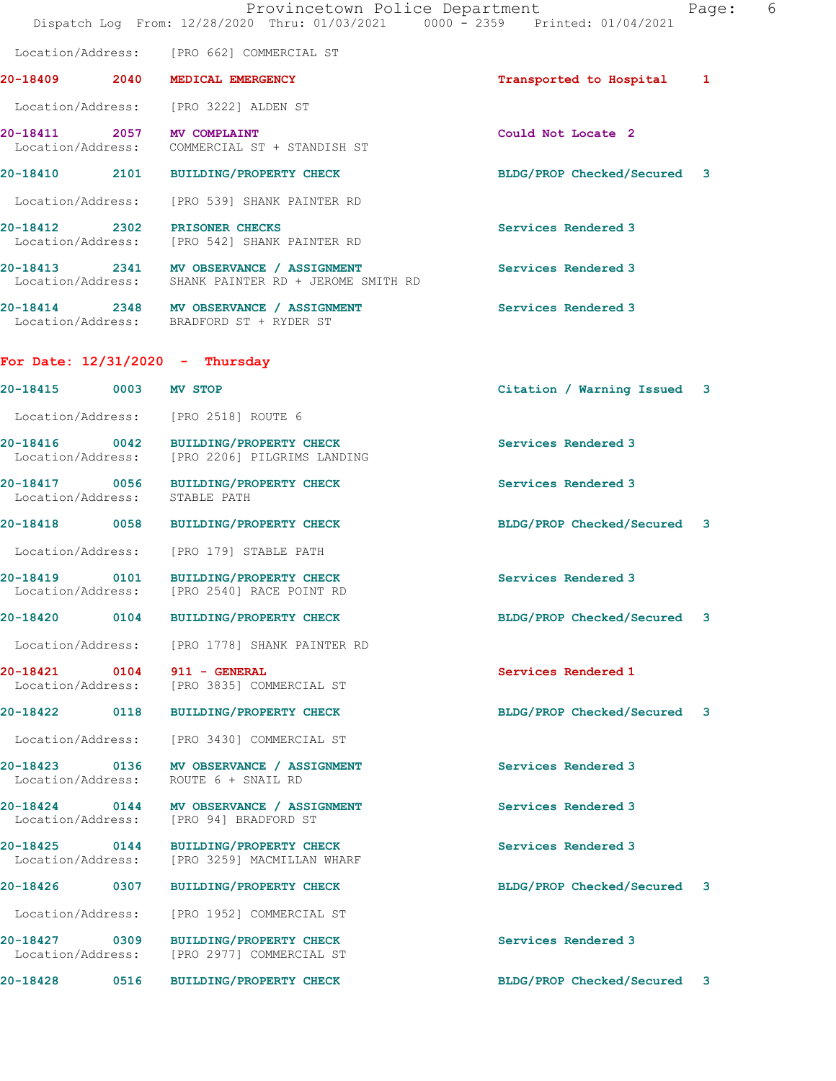|                                    |      | Provincetown Police Department<br>Dispatch Log From: 12/28/2020 Thru: 01/03/2021 0000 - 2359 Printed: 01/04/2021 |                             | Page: | - 6 |
|------------------------------------|------|------------------------------------------------------------------------------------------------------------------|-----------------------------|-------|-----|
|                                    |      | Location/Address: [PRO 662] COMMERCIAL ST                                                                        |                             |       |     |
|                                    |      | 20-18409 2040 MEDICAL EMERGENCY                                                                                  | Transported to Hospital     | 1     |     |
|                                    |      | Location/Address: [PRO 3222] ALDEN ST                                                                            |                             |       |     |
|                                    |      | 20-18411 2057 MV COMPLAINT<br>Location/Address: COMMERCIAL ST + STANDISH ST                                      | Could Not Locate 2          |       |     |
|                                    |      | 20-18410 2101 BUILDING/PROPERTY CHECK                                                                            | BLDG/PROP Checked/Secured 3 |       |     |
| Location/Address:                  |      | [PRO 539] SHANK PAINTER RD                                                                                       |                             |       |     |
|                                    |      | 20-18412 2302 PRISONER CHECKS<br>Location/Address: [PRO 542] SHANK PAINTER RD                                    | Services Rendered 3         |       |     |
|                                    |      | 20-18413 2341 MV OBSERVANCE / ASSIGNMENT<br>Location/Address: SHANK PAINTER RD + JEROME SMITH RD                 | Services Rendered 3         |       |     |
|                                    |      | 20-18414 2348 MV OBSERVANCE / ASSIGNMENT<br>Location/Address: BRADFORD ST + RYDER ST                             | Services Rendered 3         |       |     |
|                                    |      | For Date: $12/31/2020$ - Thursday                                                                                |                             |       |     |
| 20-18415 0003 MV STOP              |      |                                                                                                                  | Citation / Warning Issued 3 |       |     |
|                                    |      | Location/Address: [PRO 2518] ROUTE 6                                                                             |                             |       |     |
|                                    |      | 20-18416 0042 BUILDING/PROPERTY CHECK<br>Location/Address: [PRO 2206] PILGRIMS LANDING                           | Services Rendered 3         |       |     |
| Location/Address: STABLE PATH      |      | 20-18417 0056 BUILDING/PROPERTY CHECK                                                                            | Services Rendered 3         |       |     |
|                                    |      | 20-18418 0058 BUILDING/PROPERTY CHECK                                                                            | BLDG/PROP Checked/Secured 3 |       |     |
|                                    |      | Location/Address: [PRO 179] STABLE PATH                                                                          |                             |       |     |
|                                    |      | 20-18419 0101 BUILDING/PROPERTY CHECK<br>Location/Address: [PRO 2540] RACE POINT RD                              | Services Rendered 3         |       |     |
| 20-18420                           | 0104 | <b>BUILDING/PROPERTY CHECK</b>                                                                                   | BLDG/PROP Checked/Secured   | 3     |     |
|                                    |      | Location/Address: [PRO 1778] SHANK PAINTER RD                                                                    |                             |       |     |
|                                    |      | 20-18421 0104 911 - GENERAL<br>Location/Address: [PRO 3835] COMMERCIAL ST                                        | Services Rendered 1         |       |     |
|                                    |      | 20-18422 0118 BUILDING/PROPERTY CHECK                                                                            | BLDG/PROP Checked/Secured 3 |       |     |
| Location/Address:                  |      | [PRO 3430] COMMERCIAL ST                                                                                         |                             |       |     |
| 20-18423 0136<br>Location/Address: |      | MV OBSERVANCE / ASSIGNMENT<br>ROUTE 6 + SNAIL RD                                                                 | Services Rendered 3         |       |     |
| 20-18424 0144                      |      | MV OBSERVANCE / ASSIGNMENT<br>Location/Address: [PRO 94] BRADFORD ST                                             | Services Rendered 3         |       |     |
| 20-18425 0144<br>Location/Address: |      | BUILDING/PROPERTY CHECK<br>[PRO 3259] MACMILLAN WHARF                                                            | Services Rendered 3         |       |     |
| 20-18426 0307                      |      | <b>BUILDING/PROPERTY CHECK</b>                                                                                   | BLDG/PROP Checked/Secured 3 |       |     |
| Location/Address:                  |      | [PRO 1952] COMMERCIAL ST                                                                                         |                             |       |     |
| 20-18427 0309<br>Location/Address: |      | BUILDING/PROPERTY CHECK<br>[PRO 2977] COMMERCIAL ST                                                              | Services Rendered 3         |       |     |
| 20-18428 0516                      |      | <b>BUILDING/PROPERTY CHECK</b>                                                                                   | BLDG/PROP Checked/Secured 3 |       |     |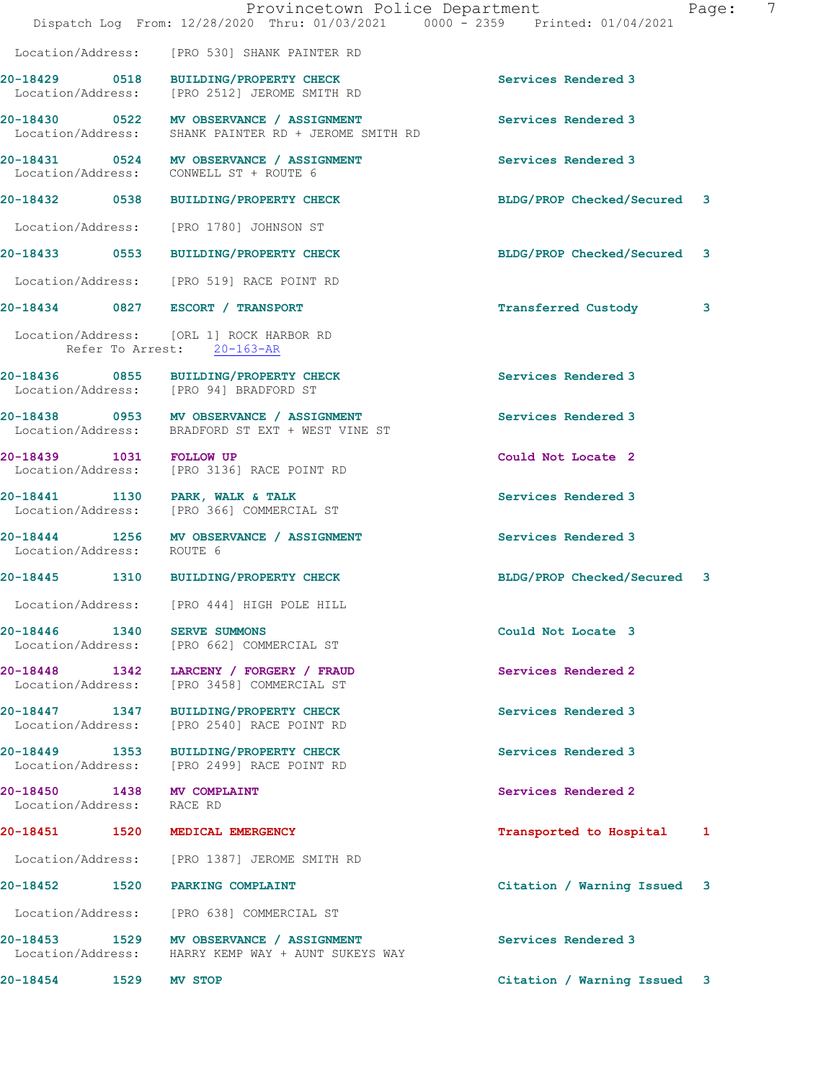|                                    |      | Provincetown Police Department<br>Dispatch Log From: 12/28/2020 Thru: 01/03/2021 0000 - 2359 Printed: 01/04/2021 |                             | 7<br>Page: |
|------------------------------------|------|------------------------------------------------------------------------------------------------------------------|-----------------------------|------------|
| Location/Address:                  |      | [PRO 530] SHANK PAINTER RD                                                                                       |                             |            |
| 20-18429 0518<br>Location/Address: |      | BUILDING/PROPERTY CHECK<br>[PRO 2512] JEROME SMITH RD                                                            | Services Rendered 3         |            |
|                                    |      | 20-18430 0522 MV OBSERVANCE / ASSIGNMENT<br>Location/Address: SHANK PAINTER RD + JEROME SMITH RD                 | Services Rendered 3         |            |
|                                    |      | 20-18431 0524 MV OBSERVANCE / ASSIGNMENT<br>Location/Address: CONWELL ST + ROUTE 6                               | Services Rendered 3         |            |
| 20-18432 0538                      |      | <b>BUILDING/PROPERTY CHECK</b>                                                                                   | BLDG/PROP Checked/Secured 3 |            |
| Location/Address:                  |      | [PRO 1780] JOHNSON ST                                                                                            |                             |            |
|                                    |      | 20-18433 0553 BUILDING/PROPERTY CHECK                                                                            | BLDG/PROP Checked/Secured 3 |            |
|                                    |      | Location/Address: [PRO 519] RACE POINT RD                                                                        |                             |            |
|                                    |      | 20-18434 0827 ESCORT / TRANSPORT                                                                                 | <b>Transferred Custody</b>  | 3          |
|                                    |      | Location/Address: [ORL 1] ROCK HARBOR RD<br>Refer To Arrest: 20-163-AR                                           |                             |            |
|                                    |      | 20-18436 0855 BUILDING/PROPERTY CHECK<br>Location/Address: [PRO 94] BRADFORD ST                                  | Services Rendered 3         |            |
|                                    |      | 20-18438 0953 MV OBSERVANCE / ASSIGNMENT<br>Location/Address: BRADFORD ST EXT + WEST VINE ST                     | Services Rendered 3         |            |
| 20-18439 1031 FOLLOW UP            |      | Location/Address: [PRO 3136] RACE POINT RD                                                                       | Could Not Locate 2          |            |
| Location/Address:                  |      | 20-18441 1130 PARK, WALK & TALK<br>[PRO 366] COMMERCIAL ST                                                       | Services Rendered 3         |            |
| Location/Address: ROUTE 6          |      | 20-18444 1256 MV OBSERVANCE / ASSIGNMENT                                                                         | Services Rendered 3         |            |
|                                    |      | 20-18445 1310 BUILDING/PROPERTY CHECK                                                                            | BLDG/PROP Checked/Secured 3 |            |
|                                    |      | Location/Address: [PRO 444] HIGH POLE HILL                                                                       |                             |            |
| 20-18446 1340                      |      | SERVE SUMMONS<br>Location/Address: [PRO 662] COMMERCIAL ST                                                       | Could Not Locate 3          |            |
| 20-18448 1342<br>Location/Address: |      | LARCENY / FORGERY / FRAUD<br>[PRO 3458] COMMERCIAL ST                                                            | Services Rendered 2         |            |
| 20-18447 1347<br>Location/Address: |      | <b>BUILDING/PROPERTY CHECK</b><br>[PRO 2540] RACE POINT RD                                                       | Services Rendered 3         |            |
| 20-18449 1353<br>Location/Address: |      | <b>BUILDING/PROPERTY CHECK</b><br>[PRO 2499] RACE POINT RD                                                       | Services Rendered 3         |            |
| 20-18450 1438<br>Location/Address: |      | MV COMPLAINT<br>RACE RD                                                                                          | Services Rendered 2         |            |
| 20-18451                           | 1520 | MEDICAL EMERGENCY                                                                                                | Transported to Hospital     | 1          |
| Location/Address:                  |      | [PRO 1387] JEROME SMITH RD                                                                                       |                             |            |
| 20-18452 1520                      |      | PARKING COMPLAINT                                                                                                | Citation / Warning Issued 3 |            |
| Location/Address:                  |      | [PRO 638] COMMERCIAL ST                                                                                          |                             |            |
| 20-18453 1529<br>Location/Address: |      | MV OBSERVANCE / ASSIGNMENT<br>HARRY KEMP WAY + AUNT SUKEYS WAY                                                   | Services Rendered 3         |            |
| 20-18454                           | 1529 | <b>MV STOP</b>                                                                                                   | Citation / Warning Issued 3 |            |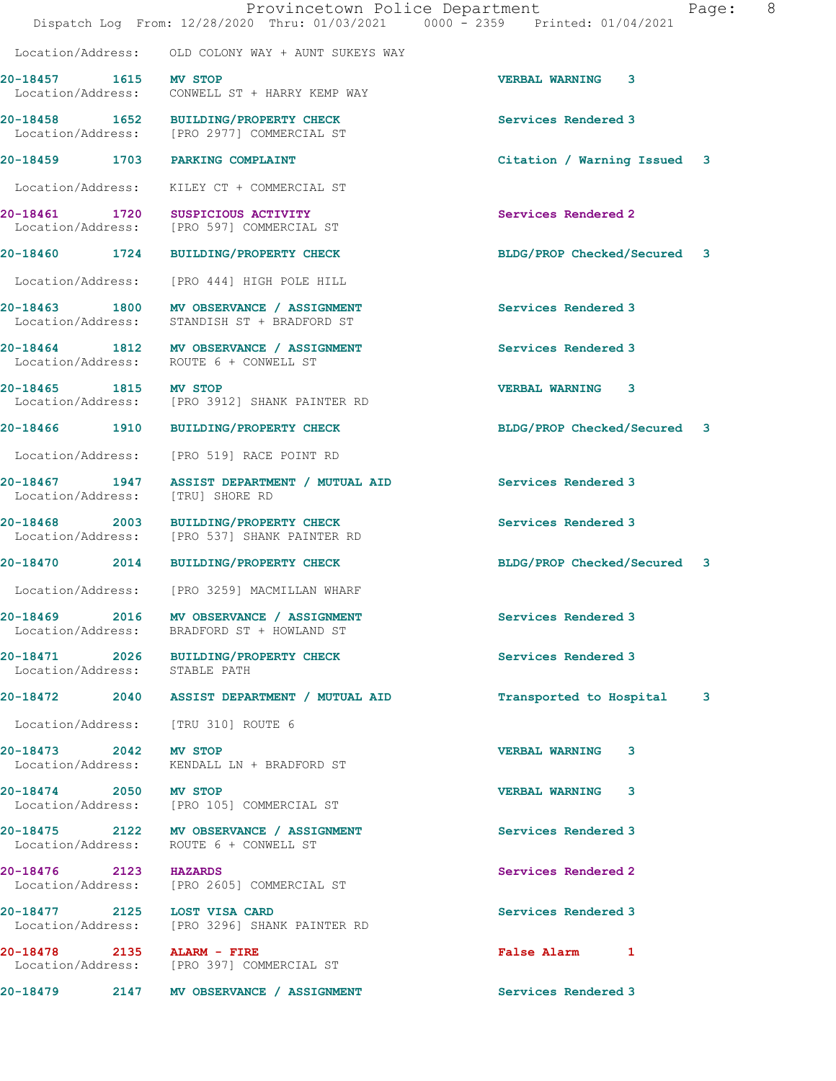|                                            | Provincetown Police Department<br>Dispatch Log From: 12/28/2020 Thru: 01/03/2021 0000 - 2359 Printed: 01/04/2021 | Page:                        | 8 |
|--------------------------------------------|------------------------------------------------------------------------------------------------------------------|------------------------------|---|
|                                            | Location/Address: OLD COLONY WAY + AUNT SUKEYS WAY                                                               |                              |   |
|                                            |                                                                                                                  | <b>VERBAL WARNING 3</b>      |   |
| 20-18457 1615 MV STOP                      | Location/Address: CONWELL ST + HARRY KEMP WAY                                                                    |                              |   |
|                                            | 20-18458 1652 BUILDING/PROPERTY CHECK<br>Location/Address: [PRO 2977] COMMERCIAL ST                              | Services Rendered 3          |   |
| 20-18459 1703 PARKING COMPLAINT            |                                                                                                                  | Citation / Warning Issued 3  |   |
|                                            | Location/Address: KILEY CT + COMMERCIAL ST                                                                       |                              |   |
|                                            | 20-18461 1720 SUSPICIOUS ACTIVITY<br>Location/Address: [PRO 597] COMMERCIAL ST                                   | Services Rendered 2          |   |
|                                            | 20-18460 1724 BUILDING/PROPERTY CHECK                                                                            | BLDG/PROP Checked/Secured 3  |   |
|                                            | Location/Address: [PRO 444] HIGH POLE HILL                                                                       |                              |   |
|                                            | 20-18463 1800 MV OBSERVANCE / ASSIGNMENT<br>Location/Address: STANDISH ST + BRADFORD ST                          | Services Rendered 3          |   |
|                                            | 20-18464 1812 MV OBSERVANCE / ASSIGNMENT<br>Location/Address: ROUTE 6 + CONWELL ST                               | Services Rendered 3          |   |
| 20-18465 1815 MV STOP                      | Location/Address: [PRO 3912] SHANK PAINTER RD                                                                    | <b>VERBAL WARNING 3</b>      |   |
|                                            | 20-18466 1910 BUILDING/PROPERTY CHECK                                                                            | BLDG/PROP Checked/Secured 3  |   |
|                                            | Location/Address: [PRO 519] RACE POINT RD                                                                        |                              |   |
| Location/Address: [TRU] SHORE RD           | 20-18467 1947 ASSIST DEPARTMENT / MUTUAL AID Services Rendered 3                                                 |                              |   |
| 20-18468<br>2003                           | <b>BUILDING/PROPERTY CHECK</b><br>Location/Address: [PRO 537] SHANK PAINTER RD                                   | Services Rendered 3          |   |
| 20-18470                                   | 2014 BUILDING/PROPERTY CHECK                                                                                     | BLDG/PROP Checked/Secured 3  |   |
| Location/Address:                          | [PRO 3259] MACMILLAN WHARF                                                                                       |                              |   |
| 20-18469 2016<br>Location/Address:         | MV OBSERVANCE / ASSIGNMENT<br>BRADFORD ST + HOWLAND ST                                                           | Services Rendered 3          |   |
| Location/Address: STABLE PATH              | 20-18471 2026 BUILDING/PROPERTY CHECK                                                                            | Services Rendered 3          |   |
| 20-18472<br>2040                           | ASSIST DEPARTMENT / MUTUAL AID                                                                                   | Transported to Hospital<br>3 |   |
| Location/Address: [TRU 310] ROUTE 6        |                                                                                                                  |                              |   |
| 20-18473 2042 MV STOP<br>Location/Address: | KENDALL LN + BRADFORD ST                                                                                         | <b>VERBAL WARNING</b><br>3   |   |
| 20-18474 2050 MV STOP                      | Location/Address: [PRO 105] COMMERCIAL ST                                                                        | 3<br><b>VERBAL WARNING</b>   |   |

20-18475 2122 MV OBSERVANCE / ASSIGNMENT **Services Rendered 3** Location/Address: ROUTE 6 + CONWELL ST

**20-18476 2123 HAZARDS Services Rendered 2** 

Location/Address: [PRO 2605] COMMERCIAL ST

**20-18477 2125 LOST VISA CARD Services Rendered 3**  Location/Address: [PRO 3296] SHANK PAINTER RD

**20-18478 2135 ALARM - FIRE False Alarm 1**  Location/Address: [PRO 397] COMMERCIAL ST

20-18479 2147 MV OBSERVANCE / ASSIGNMENT Services Rendered 3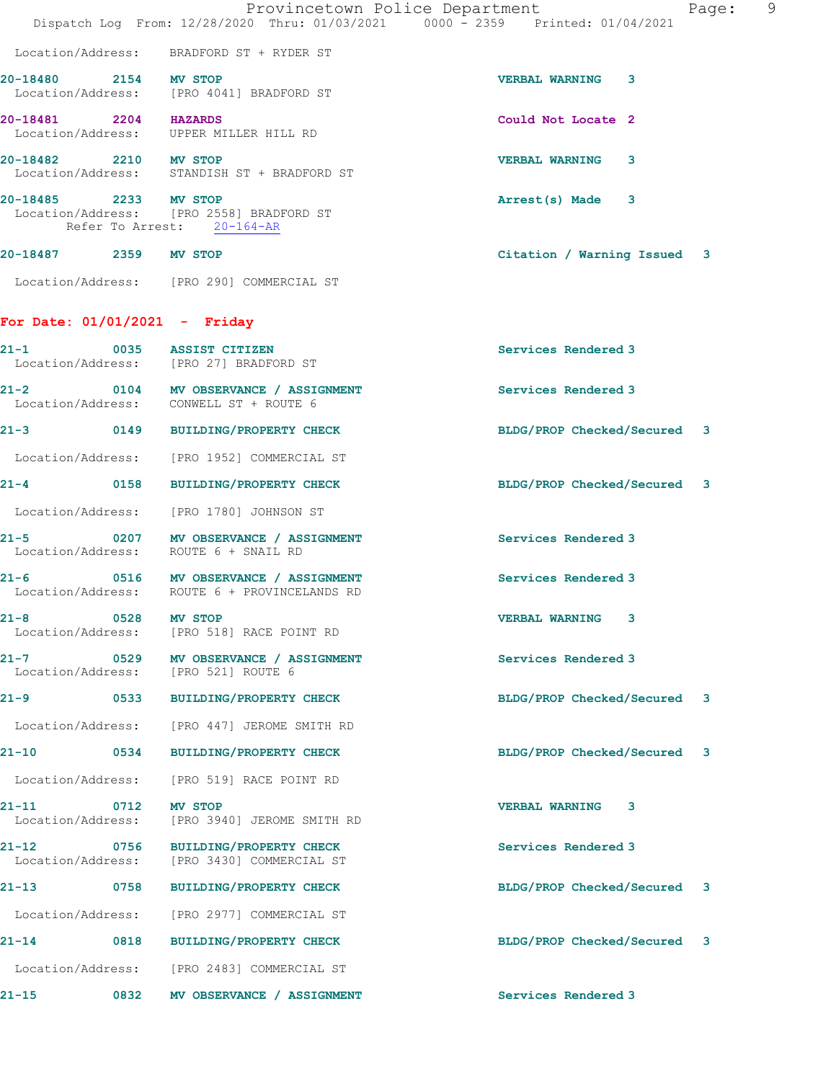|                                 |             | Provincetown Police Department<br>Dispatch Log From: 12/28/2020 Thru: 01/03/2021 0000 - 2359 Printed: 01/04/2021 |                             | -9<br>Page: |
|---------------------------------|-------------|------------------------------------------------------------------------------------------------------------------|-----------------------------|-------------|
|                                 |             | Location/Address: BRADFORD ST + RYDER ST                                                                         |                             |             |
| 20-18480 2154 MV STOP           |             | Location/Address: [PRO 4041] BRADFORD ST                                                                         | <b>VERBAL WARNING 3</b>     |             |
| 20-18481 2204 HAZARDS           |             | Location/Address: UPPER MILLER HILL RD                                                                           | Could Not Locate 2          |             |
| 20-18482 2210 MV STOP           |             | Location/Address: STANDISH ST + BRADFORD ST                                                                      | <b>VERBAL WARNING 3</b>     |             |
| 20-18485 2233 MV STOP           |             | Location/Address: [PRO 2558] BRADFORD ST<br>Refer To Arrest: 20-164-AR                                           | Arrest(s) Made 3            |             |
| 20-18487 2359 MV STOP           |             |                                                                                                                  | Citation / Warning Issued 3 |             |
|                                 |             | Location/Address: [PRO 290] COMMERCIAL ST                                                                        |                             |             |
| For Date: $01/01/2021$ - Friday |             |                                                                                                                  |                             |             |
| 21-1                            |             | 0035 ASSIST CITIZEN<br>Location/Address: [PRO 27] BRADFORD ST                                                    | Services Rendered 3         |             |
| 21-2                            |             | 0104 MV OBSERVANCE / ASSIGNMENT<br>Location/Address: CONWELL ST + ROUTE 6                                        | Services Rendered 3         |             |
|                                 |             | 21-3 0149 BUILDING/PROPERTY CHECK                                                                                | BLDG/PROP Checked/Secured 3 |             |
|                                 |             | Location/Address: [PRO 1952] COMMERCIAL ST                                                                       |                             |             |
| $21 - 4$                        |             | 0158 BUILDING/PROPERTY CHECK                                                                                     | BLDG/PROP Checked/Secured 3 |             |
|                                 |             | Location/Address: [PRO 1780] JOHNSON ST                                                                          |                             |             |
| 21-5                            |             | 0207 MV OBSERVANCE / ASSIGNMENT<br>Location/Address: ROUTE 6 + SNAIL RD                                          | Services Rendered 3         |             |
| 21-6                            |             | 0516 MV OBSERVANCE / ASSIGNMENT<br>Location/Address: ROUTE 6 + PROVINCELANDS RD                                  | Services Rendered 3         |             |
| 21-8                            | $\sim$ 0528 | MV STOP<br>Location/Address: [PRO 518] RACE POINT RD                                                             | <b>VERBAL WARNING 3</b>     |             |
|                                 |             | 21-7 0529 MV OBSERVANCE / ASSIGNMENT<br>Location/Address: [PRO 521] ROUTE 6                                      | Services Rendered 3         |             |
| 21-9                            |             | 0533 BUILDING/PROPERTY CHECK                                                                                     | BLDG/PROP Checked/Secured 3 |             |
|                                 |             | Location/Address: [PRO 447] JEROME SMITH RD                                                                      |                             |             |
|                                 |             | 21-10 0534 BUILDING/PROPERTY CHECK                                                                               | BLDG/PROP Checked/Secured 3 |             |
| Location/Address:               |             | [PRO 519] RACE POINT RD                                                                                          |                             |             |
| 21-11                           | 0712        | MV STOP<br>Location/Address: [PRO 3940] JEROME SMITH RD                                                          | <b>VERBAL WARNING 3</b>     |             |
| 21-12                           |             | 0756 BUILDING/PROPERTY CHECK<br>Location/Address: [PRO 3430] COMMERCIAL ST                                       | Services Rendered 3         |             |
| 21–13 0758                      |             | BUILDING/PROPERTY CHECK                                                                                          | BLDG/PROP Checked/Secured 3 |             |
|                                 |             | Location/Address: [PRO 2977] COMMERCIAL ST                                                                       |                             |             |
| 21-14                           |             | 0818 BUILDING/PROPERTY CHECK                                                                                     | BLDG/PROP Checked/Secured 3 |             |
|                                 |             | Location/Address: [PRO 2483] COMMERCIAL ST                                                                       |                             |             |
| 21-15                           |             | 0832 MV OBSERVANCE / ASSIGNMENT                                                                                  | Services Rendered 3         |             |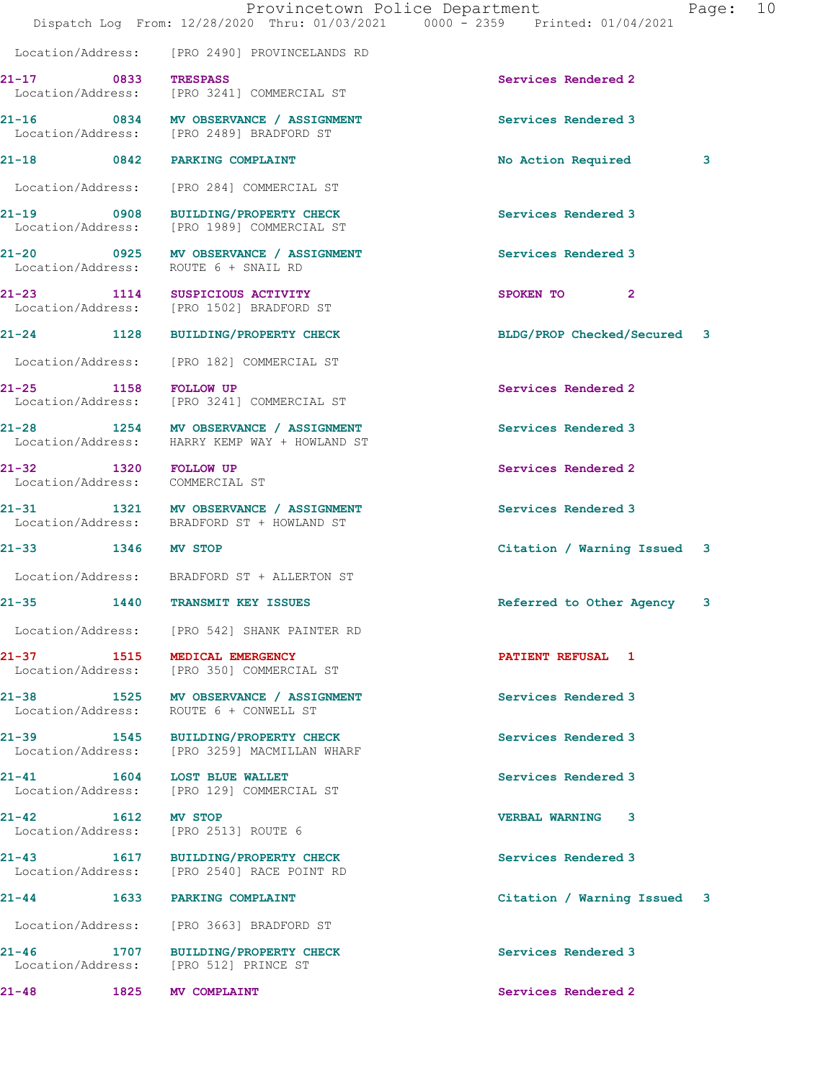|                                                            |      | Provincetown Police Department<br>Dispatch Log From: 12/28/2020 Thru: 01/03/2021 0000 - 2359 Printed: 01/04/2021 |                             | Page: 10 |  |
|------------------------------------------------------------|------|------------------------------------------------------------------------------------------------------------------|-----------------------------|----------|--|
|                                                            |      | Location/Address: [PRO 2490] PROVINCELANDS RD                                                                    |                             |          |  |
| 21-17<br><b>Example 18 OB33</b> TRESPASS                   |      | Location/Address: [PRO 3241] COMMERCIAL ST                                                                       | Services Rendered 2         |          |  |
|                                                            |      | 21-16 0834 MV OBSERVANCE / ASSIGNMENT<br>Location/Address: [PRO 2489] BRADFORD ST                                | Services Rendered 3         |          |  |
|                                                            |      | 21-18 0842 PARKING COMPLAINT                                                                                     | No Action Required          | 3        |  |
|                                                            |      | Location/Address: [PRO 284] COMMERCIAL ST                                                                        |                             |          |  |
|                                                            |      | 21-19 0908 BUILDING/PROPERTY CHECK<br>Location/Address: [PRO 1989] COMMERCIAL ST                                 | Services Rendered 3         |          |  |
|                                                            |      | 21-20 0925 MV OBSERVANCE / ASSIGNMENT<br>Location/Address: ROUTE 6 + SNAIL RD                                    | Services Rendered 3         |          |  |
|                                                            |      | 21-23 1114 SUSPICIOUS ACTIVITY<br>Location/Address: [PRO 1502] BRADFORD ST                                       | SPOKEN TO 2                 |          |  |
|                                                            |      | 21-24 1128 BUILDING/PROPERTY CHECK                                                                               | BLDG/PROP Checked/Secured 3 |          |  |
|                                                            |      | Location/Address: [PRO 182] COMMERCIAL ST                                                                        |                             |          |  |
| 21-25                                                      |      | 1158 FOLLOW UP<br>Location/Address: [PRO 3241] COMMERCIAL ST                                                     | Services Rendered 2         |          |  |
|                                                            |      | 21-28 1254 MV OBSERVANCE / ASSIGNMENT<br>Location/Address: HARRY KEMP WAY + HOWLAND ST                           | Services Rendered 3         |          |  |
| 1320 FOLLOW UP<br>21-32<br>Location/Address: COMMERCIAL ST |      |                                                                                                                  | Services Rendered 2         |          |  |
|                                                            |      | 21-31 1321 MV OBSERVANCE / ASSIGNMENT<br>Location/Address: BRADFORD ST + HOWLAND ST                              | Services Rendered 3         |          |  |
| 21-33 1346 MV STOP                                         |      |                                                                                                                  | Citation / Warning Issued 3 |          |  |
|                                                            |      | Location/Address: BRADFORD ST + ALLERTON ST                                                                      |                             |          |  |
| $21 - 35$                                                  |      | 1440 TRANSMIT KEY ISSUES                                                                                         | Referred to Other Agency    | 3        |  |
|                                                            |      | Location/Address: [PRO 542] SHANK PAINTER RD                                                                     |                             |          |  |
|                                                            |      | 21-37 1515 MEDICAL EMERGENCY<br>Location/Address: [PRO 350] COMMERCIAL ST                                        | PATIENT REFUSAL 1           |          |  |
|                                                            |      | 21-38 1525 MV OBSERVANCE / ASSIGNMENT<br>Location/Address: ROUTE 6 + CONWELL ST                                  | Services Rendered 3         |          |  |
|                                                            |      | 21-39 1545 BUILDING/PROPERTY CHECK<br>Location/Address: [PRO 3259] MACMILLAN WHARF                               | Services Rendered 3         |          |  |
|                                                            |      | 21-41 1604 LOST BLUE WALLET<br>Location/Address: [PRO 129] COMMERCIAL ST                                         | Services Rendered 3         |          |  |
| 21-42 1612 MV STOP                                         |      | Location/Address: [PRO 2513] ROUTE 6                                                                             | VERBAL WARNING 3            |          |  |
| 21-43                                                      |      | 1617 BUILDING/PROPERTY CHECK<br>Location/Address: [PRO 2540] RACE POINT RD                                       | Services Rendered 3         |          |  |
|                                                            |      | 21-44 1633 PARKING COMPLAINT                                                                                     | Citation / Warning Issued 3 |          |  |
|                                                            |      | Location/Address: [PRO 3663] BRADFORD ST                                                                         |                             |          |  |
| 21-46                                                      |      | 1707 BUILDING/PROPERTY CHECK<br>Location/Address: [PRO 512] PRINCE ST                                            | Services Rendered 3         |          |  |
| 21-48                                                      | 1825 | <b>MV COMPLAINT</b>                                                                                              | Services Rendered 2         |          |  |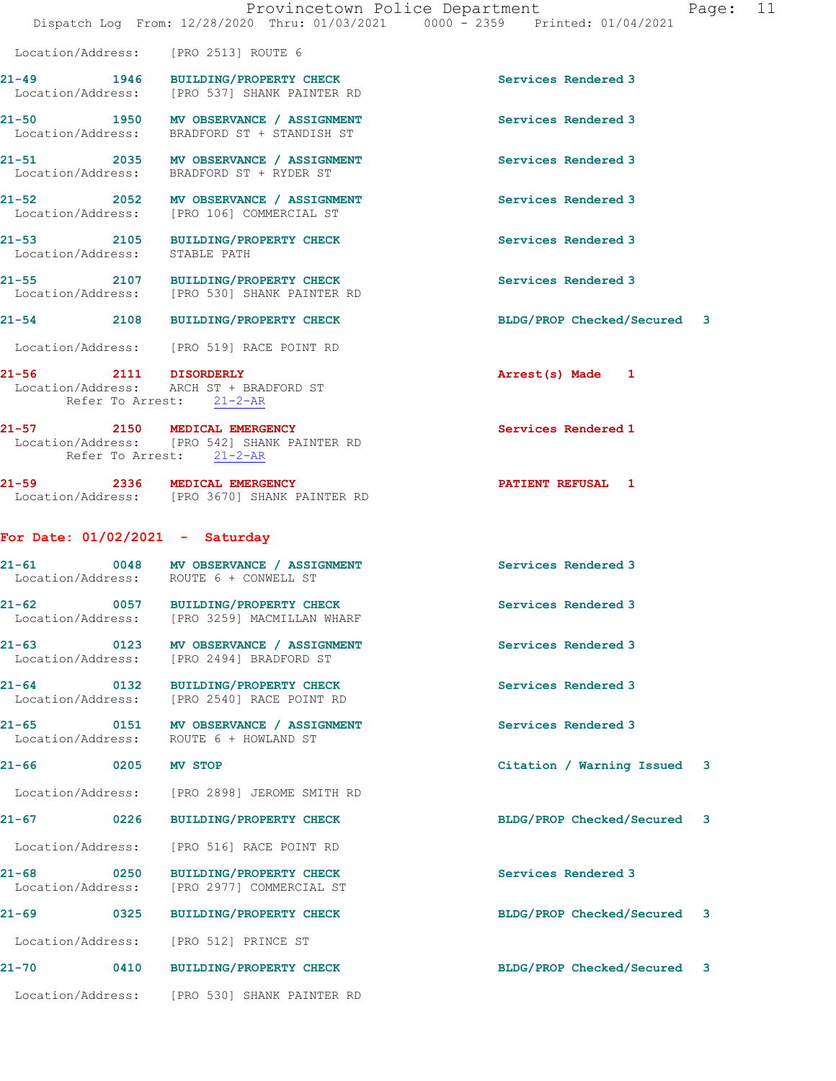|                                                   |      | Provincetown Police Department<br>Dispatch Log From: 12/28/2020 Thru: 01/03/2021 0000 - 2359 Printed: 01/04/2021 |                             | Page: 11 |
|---------------------------------------------------|------|------------------------------------------------------------------------------------------------------------------|-----------------------------|----------|
|                                                   |      | Location/Address: [PRO 2513] ROUTE 6                                                                             |                             |          |
|                                                   |      | 21-49 1946 BUILDING/PROPERTY CHECK<br>Location/Address: [PRO 537] SHANK PAINTER RD                               | Services Rendered 3         |          |
|                                                   |      | 21-50 1950 MV OBSERVANCE / ASSIGNMENT<br>Location/Address: BRADFORD ST + STANDISH ST                             | Services Rendered 3         |          |
|                                                   |      | 21-51 2035 MV OBSERVANCE / ASSIGNMENT<br>Location/Address: BRADFORD ST + RYDER ST                                | Services Rendered 3         |          |
|                                                   |      | 21-52 2052 MV OBSERVANCE / ASSIGNMENT<br>Location/Address: [PRO 106] COMMERCIAL ST                               | Services Rendered 3         |          |
| Location/Address: STABLE PATH                     |      | 21-53 2105 BUILDING/PROPERTY CHECK                                                                               | Services Rendered 3         |          |
|                                                   |      | 21-55 2107 BUILDING/PROPERTY CHECK<br>Location/Address: [PRO 530] SHANK PAINTER RD                               | Services Rendered 3         |          |
|                                                   |      | 21-54 2108 BUILDING/PROPERTY CHECK                                                                               | BLDG/PROP Checked/Secured 3 |          |
|                                                   |      | Location/Address: [PRO 519] RACE POINT RD                                                                        |                             |          |
| 21-56 2111 DISORDERLY<br>Refer To Arrest: 21-2-AR |      | Location/Address: ARCH ST + BRADFORD ST                                                                          | Arrest(s) Made 1            |          |
|                                                   |      | 21-57 2150 MEDICAL EMERGENCY<br>Location/Address: [PRO 542] SHANK PAINTER RD<br>Refer To Arrest: 21-2-AR         | Services Rendered 1         |          |
|                                                   |      | 21-59 2336 MEDICAL EMERGENCY<br>Location/Address: [PRO 3670] SHANK PAINTER RD                                    | PATIENT REFUSAL 1           |          |
| For Date: $01/02/2021$ - Saturday                 |      |                                                                                                                  |                             |          |
|                                                   |      | 21-61 0048 MV OBSERVANCE / ASSIGNMENT<br>Location/Address: ROUTE 6 + CONWELL ST                                  | Services Rendered 3         |          |
| $21 - 62$                                         |      | 0057 BUILDING/PROPERTY CHECK<br>Location/Address: [PRO 3259] MACMILLAN WHARF                                     | Services Rendered 3         |          |
|                                                   |      | 21-63 0123 MV OBSERVANCE / ASSIGNMENT<br>Location/Address: [PRO 2494] BRADFORD ST                                | Services Rendered 3         |          |
| $21 - 64$                                         |      | 0132 BUILDING/PROPERTY CHECK<br>Location/Address: [PRO 2540] RACE POINT RD                                       | Services Rendered 3         |          |
|                                                   |      | 21-65 0151 MV OBSERVANCE / ASSIGNMENT<br>Location/Address: ROUTE 6 + HOWLAND ST                                  | Services Rendered 3         |          |
| $21 - 66$                                         |      | 0205 MV STOP                                                                                                     | Citation / Warning Issued 3 |          |
|                                                   |      | Location/Address: [PRO 2898] JEROME SMITH RD                                                                     |                             |          |
| $21 - 67$ 0226                                    |      | <b>BUILDING/PROPERTY CHECK</b>                                                                                   | BLDG/PROP Checked/Secured 3 |          |
| Location/Address:                                 |      | [PRO 516] RACE POINT RD                                                                                          |                             |          |
| $21 - 68$ 0250<br>Location/Address:               |      | <b>BUILDING/PROPERTY CHECK</b><br>[PRO 2977] COMMERCIAL ST                                                       | Services Rendered 3         |          |
| $21 - 69$                                         | 0325 | <b>BUILDING/PROPERTY CHECK</b>                                                                                   | BLDG/PROP Checked/Secured 3 |          |
|                                                   |      | Location/Address: [PRO 512] PRINCE ST                                                                            |                             |          |
|                                                   |      | 21-70 0410 BUILDING/PROPERTY CHECK                                                                               | BLDG/PROP Checked/Secured 3 |          |
|                                                   |      | Location/Address: [PRO 530] SHANK PAINTER RD                                                                     |                             |          |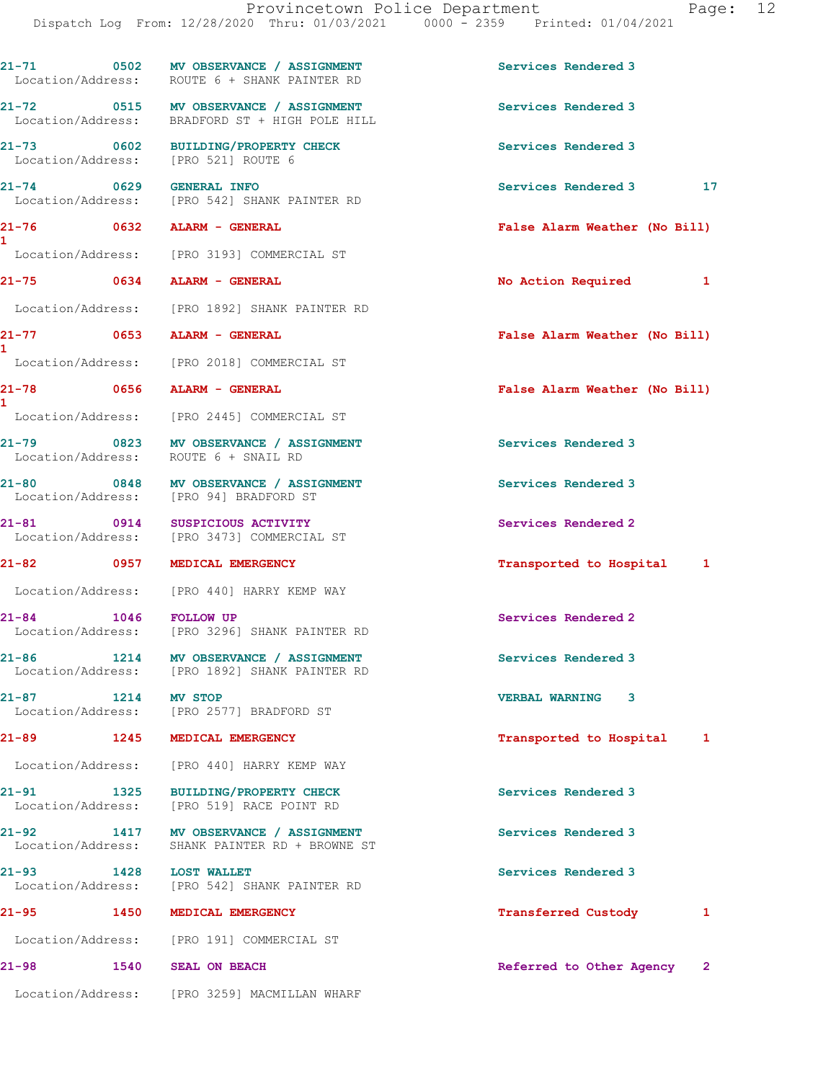|                                      | 21-71 0502 MV OBSERVANCE / ASSIGNMENT<br>Location/Address: ROUTE 6 + SHANK PAINTER RD   | Services Rendered 3                 |
|--------------------------------------|-----------------------------------------------------------------------------------------|-------------------------------------|
|                                      | 21-72 0515 MV OBSERVANCE / ASSIGNMENT<br>Location/Address: BRADFORD ST + HIGH POLE HILL | Services Rendered 3                 |
| Location/Address: [PRO 521] ROUTE 6  | 21-73 0602 BUILDING/PROPERTY CHECK                                                      | Services Rendered 3                 |
| $21 - 74$ 0629                       | <b>GENERAL INFO</b><br>Location/Address: [PRO 542] SHANK PAINTER RD                     | Services Rendered 3 17              |
| 21-76 0632 ALARM - GENERAL           |                                                                                         | False Alarm Weather (No Bill)       |
| $\mathbf{1}$                         | Location/Address: [PRO 3193] COMMERCIAL ST                                              |                                     |
| 21-75 0634 ALARM - GENERAL           |                                                                                         | No Action Required 1                |
|                                      | Location/Address: [PRO 1892] SHANK PAINTER RD                                           |                                     |
| 21-77 0653 ALARM - GENERAL           |                                                                                         | False Alarm Weather (No Bill)       |
| $\mathbf{1}$                         | Location/Address: [PRO 2018] COMMERCIAL ST                                              |                                     |
| 21-78                                | 0656 ALARM - GENERAL                                                                    | False Alarm Weather (No Bill)       |
| 1.                                   | Location/Address: [PRO 2445] COMMERCIAL ST                                              |                                     |
| Location/Address: ROUTE 6 + SNAIL RD | 21-79 0823 MV OBSERVANCE / ASSIGNMENT                                                   | Services Rendered 3                 |
|                                      | 21-80 0848 MV OBSERVANCE / ASSIGNMENT<br>Location/Address: [PRO 94] BRADFORD ST         | Services Rendered 3                 |
|                                      | 21-81 0914 SUSPICIOUS ACTIVITY<br>Location/Address: [PRO 3473] COMMERCIAL ST            | Services Rendered 2                 |
| 21-82 0957 MEDICAL EMERGENCY         |                                                                                         | Transported to Hospital 1           |
|                                      | Location/Address: [PRO 440] HARRY KEMP WAY                                              |                                     |
| $21 - 84$ 1046                       | <b>FOLLOW UP</b><br>Location/Address: [PRO 3296] SHANK PAINTER RD                       | Services Rendered 2                 |
|                                      | 21-86 1214 MV OBSERVANCE / ASSIGNMENT<br>Location/Address: [PRO 1892] SHANK PAINTER RD  | Services Rendered 3                 |
| 21-87 1214 MV STOP                   | Location/Address: [PRO 2577] BRADFORD ST                                                | <b>VERBAL WARNING 3</b>             |
| 21-89 1245 MEDICAL EMERGENCY         |                                                                                         | Transported to Hospital 1           |
|                                      | Location/Address: [PRO 440] HARRY KEMP WAY                                              |                                     |
| 21-91<br>1325                        | <b>BUILDING/PROPERTY CHECK</b><br>Location/Address: [PRO 519] RACE POINT RD             | Services Rendered 3                 |
|                                      | 21-92 1417 MV OBSERVANCE / ASSIGNMENT<br>Location/Address: SHANK PAINTER RD + BROWNE ST | Services Rendered 3                 |
| 21-93 1428 LOST WALLET               | Location/Address: [PRO 542] SHANK PAINTER RD                                            | Services Rendered 3                 |
| 21-95 1450 MEDICAL EMERGENCY         |                                                                                         | Transferred Custody<br>$\mathbf{1}$ |
|                                      | Location/Address: [PRO 191] COMMERCIAL ST                                               |                                     |
| 21-98 1540 SEAL ON BEACH             |                                                                                         | Referred to Other Agency 2          |
|                                      | Location/Address: [PRO 3259] MACMILLAN WHARF                                            |                                     |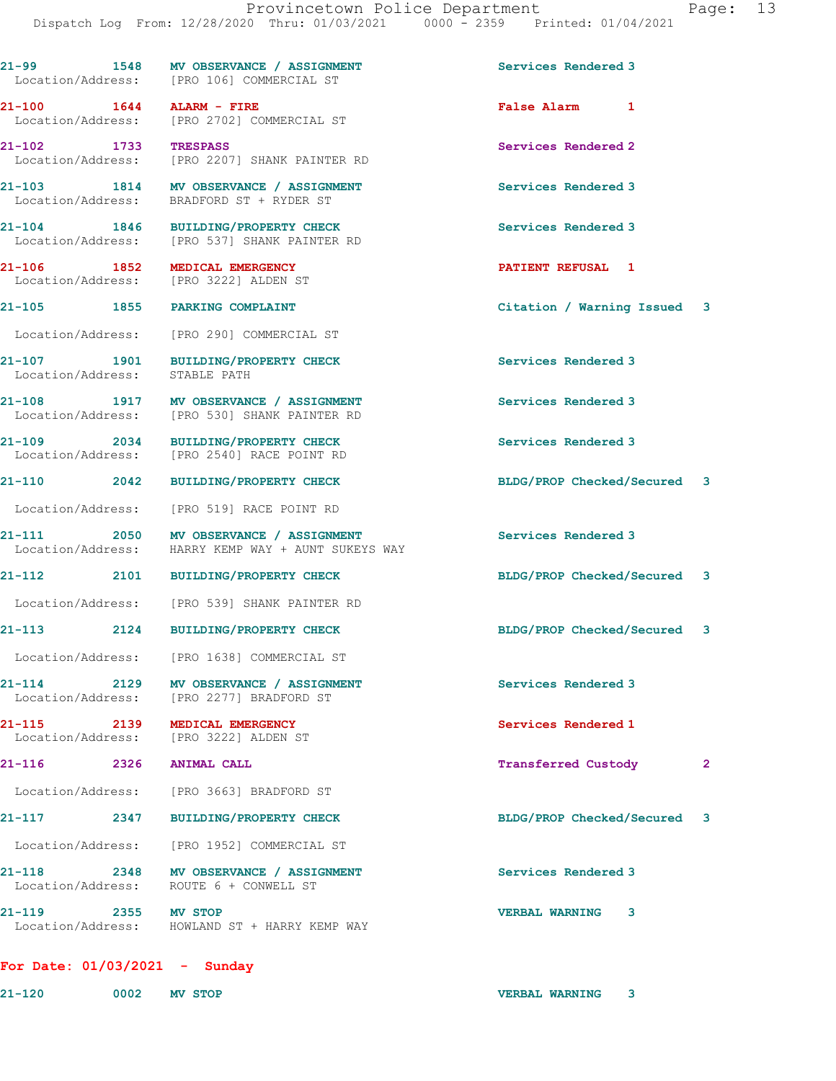|                               | 21-99 1548 MV OBSERVANCE / ASSIGNMENT<br>Location/Address: [PRO 106] COMMERCIAL ST           | Services Rendered 3                 |
|-------------------------------|----------------------------------------------------------------------------------------------|-------------------------------------|
| 21-100 1644 ALARM - FIRE      | Location/Address: [PRO 2702] COMMERCIAL ST                                                   | False Alarm 1                       |
| 21-102 1733                   | <b>TRESPASS</b><br>Location/Address: [PRO 2207] SHANK PAINTER RD                             | Services Rendered 2                 |
|                               | 21-103 1814 MV OBSERVANCE / ASSIGNMENT<br>Location/Address: BRADFORD ST + RYDER ST           | Services Rendered 3                 |
| 21-104 1846                   | <b>BUILDING/PROPERTY CHECK</b><br>Location/Address: [PRO 537] SHANK PAINTER RD               | Services Rendered 3                 |
|                               | 21-106 1852 MEDICAL EMERGENCY<br>Location/Address: [PRO 3222] ALDEN ST                       | <b>PATIENT REFUSAL 1</b>            |
|                               | 21-105 1855 PARKING COMPLAINT                                                                | Citation / Warning Issued 3         |
|                               | Location/Address: [PRO 290] COMMERCIAL ST                                                    |                                     |
| Location/Address: STABLE PATH | 21-107 1901 BUILDING/PROPERTY CHECK                                                          | Services Rendered 3                 |
|                               | 21-108 1917 MV OBSERVANCE / ASSIGNMENT<br>Location/Address: [PRO 530] SHANK PAINTER RD       | Services Rendered 3                 |
|                               | 21-109 2034 BUILDING/PROPERTY CHECK<br>Location/Address: [PRO 2540] RACE POINT RD            | Services Rendered 3                 |
|                               | 21-110 2042 BUILDING/PROPERTY CHECK                                                          | BLDG/PROP Checked/Secured 3         |
|                               | Location/Address: [PRO 519] RACE POINT RD                                                    |                                     |
|                               | 21-111 2050 MV OBSERVANCE / ASSIGNMENT<br>Location/Address: HARRY KEMP WAY + AUNT SUKEYS WAY | Services Rendered 3                 |
|                               | 21-112 2101 BUILDING/PROPERTY CHECK                                                          | BLDG/PROP Checked/Secured 3         |
|                               | Location/Address: [PRO 539] SHANK PAINTER RD                                                 |                                     |
|                               | 21-113 2124 BUILDING/PROPERTY CHECK                                                          | BLDG/PROP Checked/Secured 3         |
|                               | Location/Address: [PRO 1638] COMMERCIAL ST                                                   |                                     |
|                               | 21-114 2129 MV OBSERVANCE / ASSIGNMENT<br>Location/Address: [PRO 2277] BRADFORD ST           | Services Rendered 3                 |
| 21-115 2139 MEDICAL EMERGENCY | Location/Address: [PRO 3222] ALDEN ST                                                        | Services Rendered 1                 |
| 2326 ANIMAL CALL<br>21-116    |                                                                                              | Transferred Custody<br>$\mathbf{2}$ |
|                               | Location/Address: [PRO 3663] BRADFORD ST                                                     |                                     |
|                               | 21-117 2347 BUILDING/PROPERTY CHECK                                                          | BLDG/PROP Checked/Secured 3         |
|                               | Location/Address: [PRO 1952] COMMERCIAL ST                                                   |                                     |
|                               | 21-118 2348 MV OBSERVANCE / ASSIGNMENT<br>Location/Address: ROUTE 6 + CONWELL ST             | Services Rendered 3                 |
| 21-119 2355 MV STOP           | Location/Address: HOWLAND ST + HARRY KEMP WAY                                                | VERBAL WARNING 3                    |
|                               |                                                                                              |                                     |

## **For Date: 01/03/2021 - Sunday**

**21-120 0002 MV STOP VERBAL WARNING 3**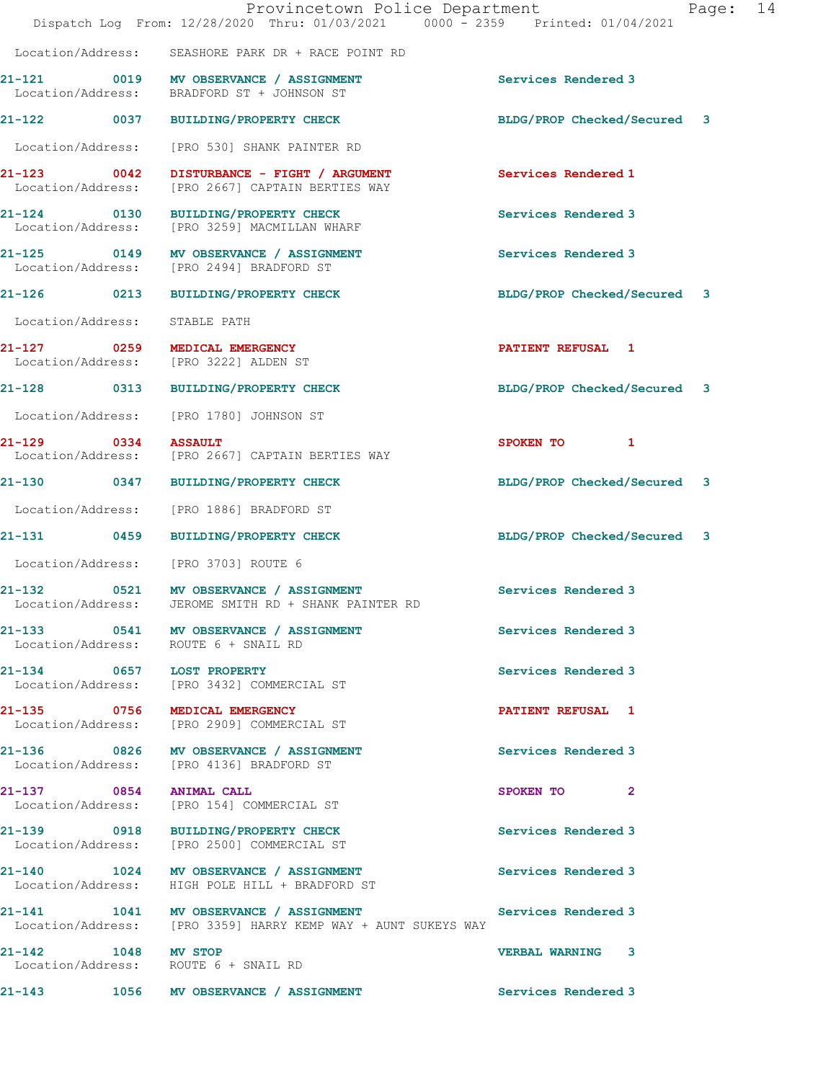| Provincetown Police Department<br>Dispatch Log From: 12/28/2020 Thru: 01/03/2021 0000 - 2359 Printed: 01/04/2021 |                                                                                                         |                             |  | Page: 14 |
|------------------------------------------------------------------------------------------------------------------|---------------------------------------------------------------------------------------------------------|-----------------------------|--|----------|
|                                                                                                                  | Location/Address: SEASHORE PARK DR + RACE POINT RD                                                      |                             |  |          |
|                                                                                                                  | 21-121 0019 MV OBSERVANCE / ASSIGNMENT<br>Location/Address: BRADFORD ST + JOHNSON ST                    | Services Rendered 3         |  |          |
|                                                                                                                  | 21-122 0037 BUILDING/PROPERTY CHECK                                                                     | BLDG/PROP Checked/Secured 3 |  |          |
|                                                                                                                  | Location/Address: [PRO 530] SHANK PAINTER RD                                                            |                             |  |          |
| $21 - 123$ 0042<br>Location/Address:                                                                             | DISTURBANCE - FIGHT / ARGUMENT<br>[PRO 2667] CAPTAIN BERTIES WAY                                        | Services Rendered 1         |  |          |
|                                                                                                                  | 21-124 0130 BUILDING/PROPERTY CHECK<br>Location/Address: [PRO 3259] MACMILLAN WHARF                     | Services Rendered 3         |  |          |
|                                                                                                                  | 21-125 0149 MV OBSERVANCE / ASSIGNMENT<br>Location/Address: [PRO 2494] BRADFORD ST                      | Services Rendered 3         |  |          |
|                                                                                                                  | 21-126 0213 BUILDING/PROPERTY CHECK                                                                     | BLDG/PROP Checked/Secured 3 |  |          |
| Location/Address: STABLE PATH                                                                                    |                                                                                                         |                             |  |          |
|                                                                                                                  | 21-127 0259 MEDICAL EMERGENCY<br>Location/Address: [PRO 3222] ALDEN ST                                  | PATIENT REFUSAL 1           |  |          |
|                                                                                                                  | 21-128 0313 BUILDING/PROPERTY CHECK                                                                     | BLDG/PROP Checked/Secured 3 |  |          |
|                                                                                                                  | Location/Address: [PRO 1780] JOHNSON ST                                                                 |                             |  |          |
| 21-129 0334 ASSAULT                                                                                              | Location/Address: [PRO 2667] CAPTAIN BERTIES WAY                                                        | SPOKEN TO 1                 |  |          |
|                                                                                                                  | 21-130 0347 BUILDING/PROPERTY CHECK                                                                     | BLDG/PROP Checked/Secured 3 |  |          |
|                                                                                                                  | Location/Address: [PRO 1886] BRADFORD ST                                                                |                             |  |          |
|                                                                                                                  | 21-131 0459 BUILDING/PROPERTY CHECK                                                                     | BLDG/PROP Checked/Secured 3 |  |          |
|                                                                                                                  | Location/Address: [PRO 3703] ROUTE 6                                                                    |                             |  |          |
|                                                                                                                  | 21-132 0521 MV OBSERVANCE / ASSIGNMENT<br>Location/Address: JEROME SMITH RD + SHANK PAINTER RD          | Services Rendered 3         |  |          |
|                                                                                                                  | 21-133 0541 MV OBSERVANCE / ASSIGNMENT<br>Location/Address: ROUTE 6 + SNAIL RD                          | Services Rendered 3         |  |          |
| 21-134 0657 LOST PROPERTY                                                                                        | Location/Address: [PRO 3432] COMMERCIAL ST                                                              | Services Rendered 3         |  |          |
|                                                                                                                  | 21-135 0756 MEDICAL EMERGENCY<br>Location/Address: [PRO 2909] COMMERCIAL ST                             | PATIENT REFUSAL 1           |  |          |
|                                                                                                                  | 21-136 0826 MV OBSERVANCE / ASSIGNMENT<br>Location/Address: [PRO 4136] BRADFORD ST                      | Services Rendered 3         |  |          |
| 21-137 0854 ANIMAL CALL                                                                                          | Location/Address: [PRO 154] COMMERCIAL ST                                                               | SPOKEN TO 2                 |  |          |
|                                                                                                                  | 21-139 0918 BUILDING/PROPERTY CHECK<br>Location/Address: [PRO 2500] COMMERCIAL ST                       | Services Rendered 3         |  |          |
|                                                                                                                  | 21-140 1024 MV OBSERVANCE / ASSIGNMENT<br>Location/Address: HIGH POLE HILL + BRADFORD ST                | Services Rendered 3         |  |          |
|                                                                                                                  | 21-141 1041 MV OBSERVANCE / ASSIGNMENT<br>Location/Address: [PRO 3359] HARRY KEMP WAY + AUNT SUKEYS WAY | Services Rendered 3         |  |          |
| 21-142 1048 MV STOP                                                                                              | Location/Address: ROUTE 6 + SNAIL RD                                                                    | <b>VERBAL WARNING 3</b>     |  |          |
|                                                                                                                  | 21-143 1056 MV OBSERVANCE / ASSIGNMENT                                                                  | Services Rendered 3         |  |          |